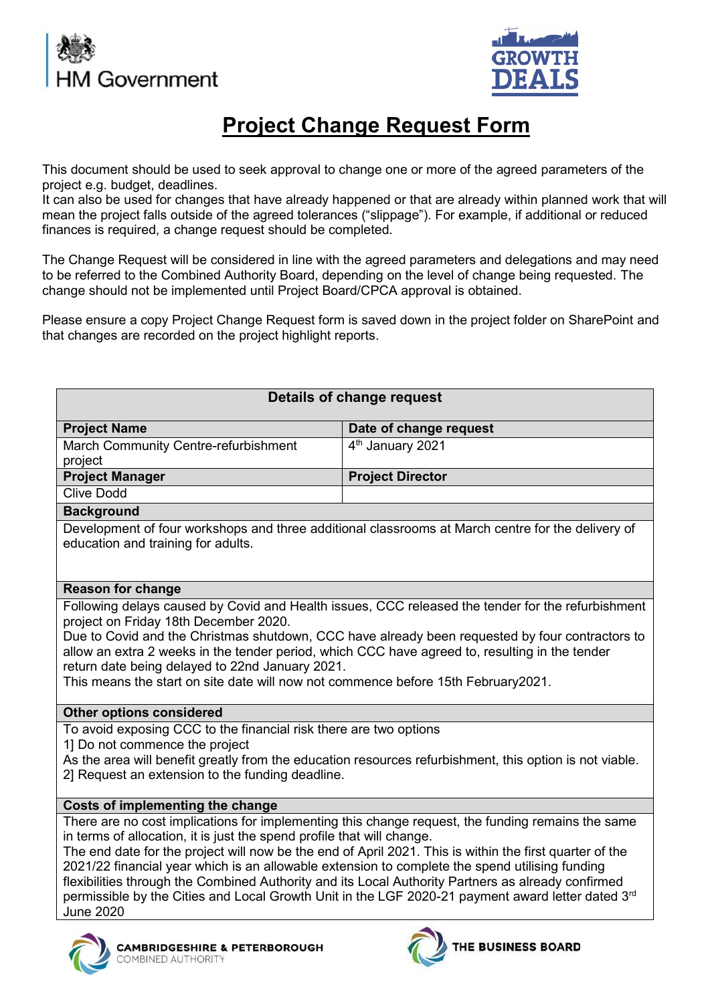



## **Project Change Request Form**

This document should be used to seek approval to change one or more of the agreed parameters of the project e.g. budget, deadlines.

It can also be used for changes that have already happened or that are already within planned work that will mean the project falls outside of the agreed tolerances ("slippage"). For example, if additional or reduced finances is required, a change request should be completed.

The Change Request will be considered in line with the agreed parameters and delegations and may need to be referred to the Combined Authority Board, depending on the level of change being requested. The change should not be implemented until Project Board/CPCA approval is obtained.

Please ensure a copy Project Change Request form is saved down in the project folder on SharePoint and that changes are recorded on the project highlight reports.

| <b>Details of change request</b>                                                                                                                                                                                                                                                                                                                                                                                                                                                                                                                                                                                        |                                                                                                                                                                                                      |
|-------------------------------------------------------------------------------------------------------------------------------------------------------------------------------------------------------------------------------------------------------------------------------------------------------------------------------------------------------------------------------------------------------------------------------------------------------------------------------------------------------------------------------------------------------------------------------------------------------------------------|------------------------------------------------------------------------------------------------------------------------------------------------------------------------------------------------------|
| <b>Project Name</b>                                                                                                                                                                                                                                                                                                                                                                                                                                                                                                                                                                                                     | Date of change request                                                                                                                                                                               |
| March Community Centre-refurbishment                                                                                                                                                                                                                                                                                                                                                                                                                                                                                                                                                                                    | 4 <sup>th</sup> January 2021                                                                                                                                                                         |
| project                                                                                                                                                                                                                                                                                                                                                                                                                                                                                                                                                                                                                 |                                                                                                                                                                                                      |
| <b>Project Manager</b>                                                                                                                                                                                                                                                                                                                                                                                                                                                                                                                                                                                                  | <b>Project Director</b>                                                                                                                                                                              |
| <b>Clive Dodd</b>                                                                                                                                                                                                                                                                                                                                                                                                                                                                                                                                                                                                       |                                                                                                                                                                                                      |
| <b>Background</b>                                                                                                                                                                                                                                                                                                                                                                                                                                                                                                                                                                                                       |                                                                                                                                                                                                      |
| education and training for adults.                                                                                                                                                                                                                                                                                                                                                                                                                                                                                                                                                                                      | Development of four workshops and three additional classrooms at March centre for the delivery of                                                                                                    |
| <b>Reason for change</b>                                                                                                                                                                                                                                                                                                                                                                                                                                                                                                                                                                                                |                                                                                                                                                                                                      |
| project on Friday 18th December 2020.<br>allow an extra 2 weeks in the tender period, which CCC have agreed to, resulting in the tender<br>return date being delayed to 22nd January 2021.<br>This means the start on site date will now not commence before 15th February2021.                                                                                                                                                                                                                                                                                                                                         | Following delays caused by Covid and Health issues, CCC released the tender for the refurbishment<br>Due to Covid and the Christmas shutdown, CCC have already been requested by four contractors to |
| <b>Other options considered</b>                                                                                                                                                                                                                                                                                                                                                                                                                                                                                                                                                                                         |                                                                                                                                                                                                      |
| To avoid exposing CCC to the financial risk there are two options<br>1] Do not commence the project<br>2] Request an extension to the funding deadline.                                                                                                                                                                                                                                                                                                                                                                                                                                                                 | As the area will benefit greatly from the education resources refurbishment, this option is not viable.                                                                                              |
| Costs of implementing the change                                                                                                                                                                                                                                                                                                                                                                                                                                                                                                                                                                                        |                                                                                                                                                                                                      |
| There are no cost implications for implementing this change request, the funding remains the same<br>in terms of allocation, it is just the spend profile that will change.<br>The end date for the project will now be the end of April 2021. This is within the first quarter of the<br>2021/22 financial year which is an allowable extension to complete the spend utilising funding<br>flexibilities through the Combined Authority and its Local Authority Partners as already confirmed<br>permissible by the Cities and Local Growth Unit in the LGF 2020-21 payment award letter dated 3rd<br><b>June 2020</b> |                                                                                                                                                                                                      |
| <b>MBRIDGESHIRE &amp; PETERBOROUGH</b>                                                                                                                                                                                                                                                                                                                                                                                                                                                                                                                                                                                  | <b>E BUSINESS BOARD</b>                                                                                                                                                                              |